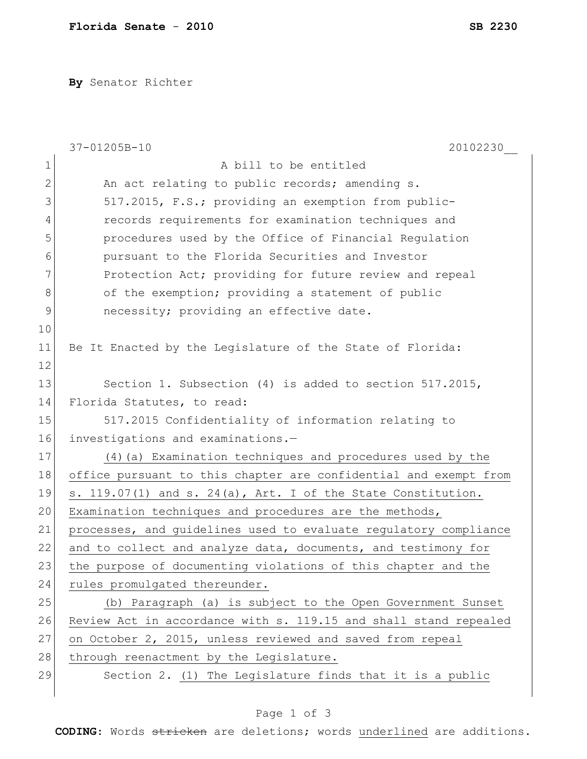**By** Senator Richter

|               | 37-01205B-10<br>20102230                                          |
|---------------|-------------------------------------------------------------------|
| $1\,$         | A bill to be entitled                                             |
| $\mathbf{2}$  | An act relating to public records; amending s.                    |
| 3             | 517.2015, F.S.; providing an exemption from public-               |
| 4             | records requirements for examination techniques and               |
| 5             | procedures used by the Office of Financial Regulation             |
| 6             | pursuant to the Florida Securities and Investor                   |
| 7             | Protection Act; providing for future review and repeal            |
| 8             | of the exemption; providing a statement of public                 |
| $\mathcal{G}$ | necessity; providing an effective date.                           |
| 10            |                                                                   |
| 11            | Be It Enacted by the Legislature of the State of Florida:         |
| 12            |                                                                   |
| 13            | Section 1. Subsection (4) is added to section 517.2015,           |
| 14            | Florida Statutes, to read:                                        |
| 15            | 517.2015 Confidentiality of information relating to               |
| 16            | investigations and examinations.-                                 |
| 17            | (4) (a) Examination techniques and procedures used by the         |
| 18            | office pursuant to this chapter are confidential and exempt from  |
| 19            | s. $119.07(1)$ and s. $24(a)$ , Art. I of the State Constitution. |
| 20            | Examination techniques and procedures are the methods,            |
| 21            | processes, and guidelines used to evaluate regulatory compliance  |
| 22            | and to collect and analyze data, documents, and testimony for     |
| 23            | the purpose of documenting violations of this chapter and the     |
| 24            | rules promulgated thereunder.                                     |
| 25            | (b) Paragraph (a) is subject to the Open Government Sunset        |
| 26            | Review Act in accordance with s. 119.15 and shall stand repealed  |
| 27            | on October 2, 2015, unless reviewed and saved from repeal         |
| 28            | through reenactment by the Legislature.                           |
| 29            | Section 2. (1) The Legislature finds that it is a public          |
|               |                                                                   |

**CODING**: Words stricken are deletions; words underlined are additions.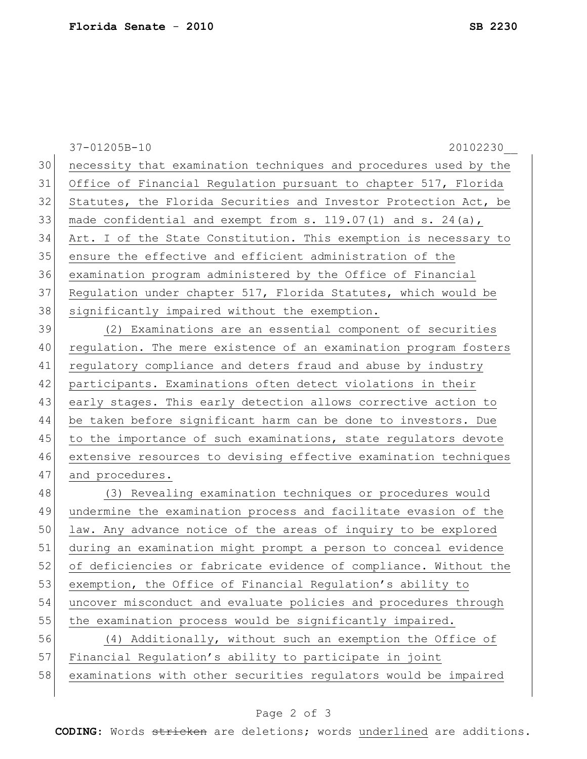37-01205B-10 20102230\_\_ 30 necessity that examination techniques and procedures used by the 31 Office of Financial Regulation pursuant to chapter 517, Florida 32 Statutes, the Florida Securities and Investor Protection Act, be 33 made confidential and exempt from  $s. 119.07(1)$  and  $s. 24(a)$ , 34 Art. I of the State Constitution. This exemption is necessary to 35 ensure the effective and efficient administration of the 36 examination program administered by the Office of Financial 37 Regulation under chapter 517, Florida Statutes, which would be 38 significantly impaired without the exemption. 39 (2) Examinations are an essential component of securities 40 regulation. The mere existence of an examination program fosters 41 regulatory compliance and deters fraud and abuse by industry 42 participants. Examinations often detect violations in their 43 early stages. This early detection allows corrective action to 44 be taken before significant harm can be done to investors. Due 45 to the importance of such examinations, state regulators devote 46 extensive resources to devising effective examination techniques 47 and procedures. 48 (3) Revealing examination techniques or procedures would 49 undermine the examination process and facilitate evasion of the 50 law. Any advance notice of the areas of inquiry to be explored 51 during an examination might prompt a person to conceal evidence 52 of deficiencies or fabricate evidence of compliance. Without the 53 exemption, the Office of Financial Regulation's ability to 54 uncover misconduct and evaluate policies and procedures through 55 the examination process would be significantly impaired. 56 (4) Additionally, without such an exemption the Office of 57 Financial Regulation's ability to participate in joint 58 examinations with other securities regulators would be impaired

## Page 2 of 3

**CODING**: Words stricken are deletions; words underlined are additions.